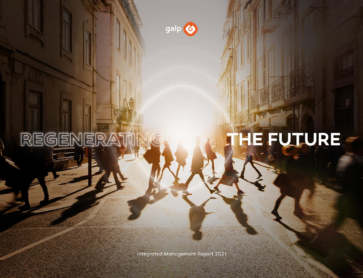

REGENER

# HE FUTURE

Integrated Management Report 2021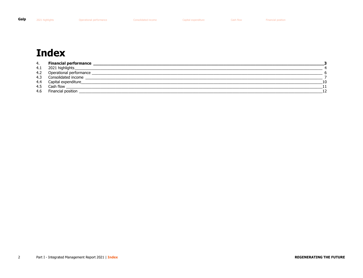<span id="page-1-0"></span>2021 highlights Coperational performance

**Consolidated income** 

Cash flow

# **Index**

| 4.  | <b>Financial performance</b> |    |
|-----|------------------------------|----|
| 4.1 | 2021 highlights              |    |
| 4.2 | Operational performance      |    |
|     | 4.3 Consolidated income      |    |
|     | 4.4 Capital expenditure_     | 10 |
| 4.5 | Cash flow                    |    |
| 4.6 | Financial position           | 12 |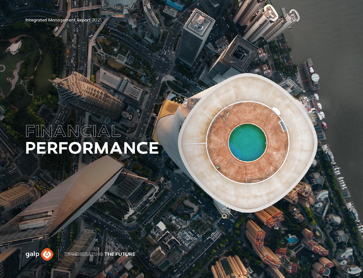<span id="page-2-1"></span><span id="page-2-0"></span>Integrated Management Report 2021

# FINANCIAL

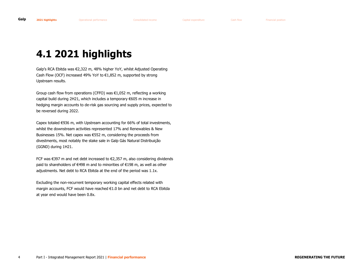# <span id="page-3-0"></span>**4.1 2021 highlights**

Galp's RCA Ebitda was €2,322 m, 48% higher YoY, whilst Adjusted Operating Cash Flow (OCF) increased 49% YoY to  $E1,852$  m, supported by strong Upstream results.

Group cash flow from operations (CFFO) was €1,052 m, reflecting a working capital build during 2H21, which includes a temporary €605 m increase in hedging margin accounts to de-risk gas sourcing and supply prices, expected to be reversed during 2022.

Capex totaled €936 m, with Upstream accounting for 66% of total investments, whilst the downstream activities represented 17% and Renewables & New Businesses 15%. Net capex was €552 m, considering the proceeds from divestments, most notably the stake sale in Galp Gás Natural Distribuição (GGND) during 1H21.

FCF was €397 m and net debt increased to €2,357 m, also considering dividends paid to shareholders of €498 m and to minorities of €198 m, as well as other adjustments. Net debt to RCA Ebitda at the end of the period was 1.1x.

Excluding the non-recurrent temporary working capital effects related with margin accounts, FCF would have reached €1.0 bn and net debt to RCA Ebitda at year end would have been 0.8x.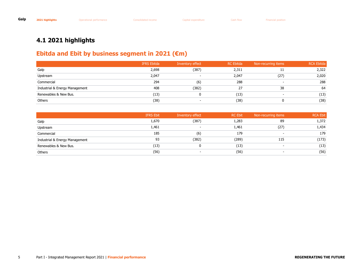#### **4.1 2021 highlights**

#### **Ebitda and Ebit by business segment in 2021 (€m)**

|                                | <b>IFRS Ebitda</b> | Inventory effect | <b>RC</b> Ebitda | Non-recurring items      | <b>RCA Ebitda</b> |
|--------------------------------|--------------------|------------------|------------------|--------------------------|-------------------|
| Galp                           | 2,698              | (387)            | 2,311            |                          | 2,322             |
| Upstream                       | 2,047              |                  | 2,047            | (27)                     | 2,020             |
| Commercial                     | 294                | (6)              | 288              | $\overline{\phantom{0}}$ | 288               |
| Industrial & Energy Management | 408                | (382)            | 27               | 38                       | 64                |
| Renewables & New Bus.          | (13)               |                  | (13)             | $\overline{\phantom{a}}$ | (13)              |
| Others                         | (38)               |                  | (38)             |                          | (38)              |

|                                | <b>IFRS Ebit</b> | Inventory effect         | <b>RC Ebit</b> | Non-recurring items      | <b>RCA Ebit</b> |
|--------------------------------|------------------|--------------------------|----------------|--------------------------|-----------------|
| Galp                           | 1,670            | (387)                    | 1,283          | 89                       | 1,372           |
| Upstream                       | 1,461            | . .                      | 1,461          | (27)                     | 1,434           |
| Commercial                     | 185              | (6)                      | 179            | $\overline{\phantom{0}}$ | 179             |
| Industrial & Energy Management | 93               | (382)                    | (289)          | 115                      | (173)           |
| Renewables & New Bus.          | (13)             | 0                        | (13)           | -                        | (13)            |
| Others                         | (56)             | $\overline{\phantom{a}}$ | (56)           | $\overline{\phantom{a}}$ | (56)            |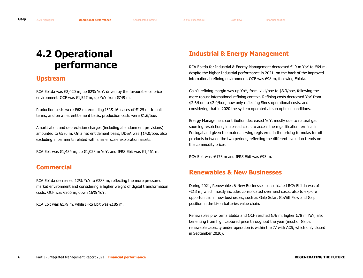# <span id="page-5-1"></span><span id="page-5-0"></span>**4.2 Operational performance**

#### **Upstream**

RCA Ebitda was €2,020 m, up 82% YoY, driven by the favourable oil price environment. OCF was €1,527 m, up YoY from €749 m.

Production costs were €62 m, excluding IFRS 16 leases of €125 m. In unit terms, and on a net entitlement basis, production costs were \$1.6/boe.

Amortisation and depreciation charges (including abandonment provisions) amounted to €586 m. On a net entitlement basis, DD&A was \$14.0/boe, also excluding impairments related with smaller scale exploration assets.

RCA Ebit was €1,434 m, up €1,028 m YoY, and IFRS Ebit was €1,461 m.

#### **Commercial**

RCA Ebitda decreased 12% YoY to €288 m, reflecting the more pressured market environment and considering a higher weight of digital transformation costs. OCF was €266 m, down 16% YoY.

RCA Ebit was €179 m, while IFRS Ebit was €185 m.

#### **Industrial & Energy Management**

RCA Ebitda for Industrial & Energy Management decreased €49 m YoY to €64 m, despite the higher Industrial performance in 2021, on the back of the improved international refining environment. OCF was €98 m, following Ebitda.

Galp's refining margin was up YoY, from \$1.1/boe to \$3.3/boe, following the more robust international refining context. Refining costs decreased YoY from \$2.6/boe to \$2.0/boe, now only reflecting Sines operational costs, and considering that in 2020 the system operated at sub optimal conditions.

Energy Management contribution decreased YoY, mostly due to natural gas sourcing restrictions, increased costs to access the regasification terminal in Portugal and given the material swing registered in the pricing formulas for oil products between the two periods, reflecting the different evolution trends on the commodity prices.

RCA Ebit was -€173 m and IFRS Ebit was €93 m.

#### **Renewables & New Businesses**

During 2021, Renewables & New Businesses consolidated RCA Ebitda was of -€13 m, which mostly includes consolidated overhead costs, also to explore opportunities in new businesses, such as Galp Solar, GoWithFlow and Galp position in the Li-on batteries value chain.

Renewables pro-forma Ebitda and OCF reached €76 m, higher €78 m YoY, also benefiting from high captured price throughout the year (most of Galp's renewable capacity under operation is within the JV with ACS, which only closed in September 2020).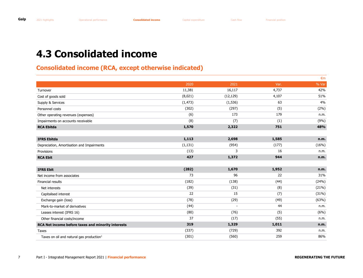# <span id="page-6-1"></span><span id="page-6-0"></span>**4.3 Consolidated income**

#### **Consolidated income (RCA, except otherwise indicated)**

|                                                      |          |           |       | $\epsilon$ m |
|------------------------------------------------------|----------|-----------|-------|--------------|
|                                                      | 2020     | 2021      | Var.  | % Var        |
| Turnover                                             | 11,381   | 16,117    | 4,737 | 42%          |
| Cost of goods sold                                   | (8,021)  | (12, 129) | 4,107 | 51%          |
| Supply & Services                                    | (1, 473) | (1, 536)  | 63    | 4%           |
| Personnel costs                                      | (302)    | (297)     | (5)   | (2%)         |
| Other operating revenues (expenses)                  | (6)      | 173       | 179   | n.m.         |
| Impairments on accounts receivable                   | (8)      | (7)       | (1)   | (9%)         |
| <b>RCA Ebitda</b>                                    | 1,570    | 2,322     | 751   | 48%          |
|                                                      |          |           |       |              |
| <b>IFRS Ebitda</b>                                   | 1,113    | 2,698     | 1,585 | n.m.         |
| Depreciation, Amortisation and Impairments           | (1, 131) | (954)     | (177) | (16%)        |
| Provisions                                           | (13)     | 3         | 16    | n.m.         |
| <b>RCA Ebit</b>                                      | 427      | 1,372     | 944   | n.m.         |
|                                                      |          |           |       |              |
| <b>IFRS Ebit</b>                                     | (282)    | 1,670     | 1,952 | n.m.         |
| Net income from associates                           | 73       | 96        | 22    | 31%          |
| Financial results                                    | (182)    | (138)     | (44)  | (24%)        |
| Net interests                                        | (39)     | (31)      | (8)   | (21%)        |
| Capitalised interest                                 | 22       | 15        | (7)   | (31%)        |
| Exchange gain (loss)                                 | (78)     | (29)      | (49)  | (63%)        |
| Mark-to-market of derivatives                        | (44)     |           | 44    | n.m.         |
| Leases interest (IFRS 16)                            | (80)     | (76)      | (5)   | (6%)         |
| Other financial costs/income                         | 37       | (17)      | (55)  | n.m.         |
| RCA Net income before taxes and minority interests   | 319      | 1,329     | 1,011 | n.m.         |
| Taxes                                                | (337)    | (729)     | 392   | n.m.         |
| Taxes on oil and natural gas production <sup>1</sup> | (301)    | (560)     | 259   | 86%          |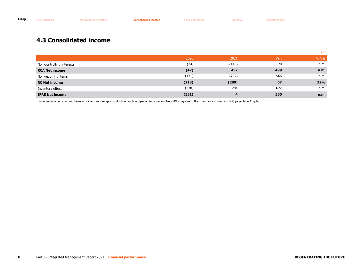#### **4.3 Consolidated income**

|                           |       |       |      | €m         |
|---------------------------|-------|-------|------|------------|
|                           | 2020  | 2021  | Var. | % Var      |
| Non-controlling interests | (24)  | (143) | 120  | n.m.       |
| <b>RCA Net income</b>     | (42)  | 457   | 499  | n.m.       |
| Non-recurring items       | (171) | (737) | 566  | n.m.       |
| <b>RC Net income</b>      | (213) | (280) | 67   | <b>32%</b> |
| Inventory effect          | (338) | 284   | 622  | n.m.       |
| <b>IFRS Net income</b>    | (551) | 4     | 555  | n.m.       |

<sup>1</sup> Includes income taxes and taxes on oil and natural gas production, such as Special Participation Tax (SPT) payable in Brazil and oil income tax (IRP) payable in Angola.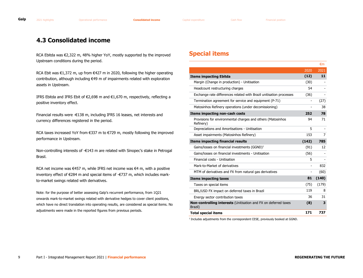#### **4.3 Consolidated income**

RCA Ebitda was €2,322 m, 48% higher YoY, mostly supported by the improved Upstream conditions during the period.

RCA Ebit was €1,372 m, up from €427 m in 2020, following the higher operating contribution, although including €49 m of impairments related with exploration assets in Upstream.

IFRS Ebitda and IFRS Ebit of €2,698 m and €1,670 m, respectively, reflecting a positive inventory effect.

Financial results were -€138 m, including IFRS 16 leases, net interests and currency differences registered in the period.

RCA taxes increased YoY from €337 m to €729 m, mostly following the improved performance in Upstream.

Non-controlling interests of -€143 m are related with Sinopec's stake in Petrogal Brasil.

RCA net income was €457 m, while IFRS net income was €4 m, with a positive inventory effect of €284 m and special items of -€737 m, which includes markto-market swings related with derivatives.

Note: for the purpose of better assessing Galp's recurrent performance, from 1Q21 onwards mark-to-market swings related with derivative hedges to cover client positions, which have no direct translation into operating results, are considered as special items. No adjustments were made in the reported figures from previous periods.

#### **Special items**

|                                                                            |                          | €m    |
|----------------------------------------------------------------------------|--------------------------|-------|
|                                                                            | 2020                     | 2021  |
| <b>Items impacting Ebitda</b>                                              | (12)                     | 11    |
| Margin (Change in production) - Unitisation                                | (30)                     |       |
| Headcount restructuring charges                                            | 54                       |       |
| Exchange rate differences related with Brazil unitisation processes        | (36)                     |       |
| Termination agreement for service and equipment (P-71)                     | $\overline{\phantom{a}}$ | (27)  |
| Matosinhos Refinery operations (under decomissioning)                      |                          | 38    |
| Items impacting non-cash costs                                             | 252                      | 78    |
| Provisions for environmental charges and others (Matosinhos<br>Refinery)   | 94                       | 71    |
| Depreciations and Amortisations - Unitisation                              | 5                        |       |
| Asset impairments (Matosinhos Refinery)                                    | 153                      | 7     |
|                                                                            |                          |       |
| <b>Items impacting financial results</b>                                   | (142)                    | 785   |
| Gains/losses on financial investments $(GGND)^1$                           | (91)                     | 12    |
| Gains/losses on financial investments - Unitisation                        | (56)                     |       |
| Financial costs - Unitisation                                              | 5                        |       |
| Mark-to-Market of derivatives                                              | $\overline{\phantom{a}}$ | 832   |
| MTM of derivatives and FX from natural gas derivatives                     | $\overline{\phantom{a}}$ | (60)  |
| <b>Items impacting taxes</b>                                               | 81                       | (140) |
| Taxes on special items                                                     | (75)                     | (179) |
| BRL/USD FX impact on deferred taxes in Brazil                              | 119                      | 8     |
| Energy sector contribution taxes                                           | 36                       | 31    |
| Non-controlling interests (Unitisation and FX on deferred taxes<br>Brazil) | (8)                      | 3     |

<sup>1</sup> Includes adjustments from the correspondent CESE, previously booked at GGND.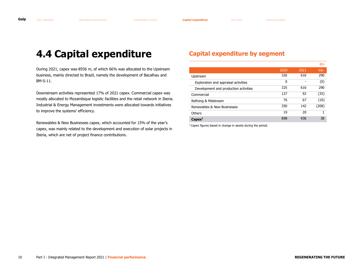## <span id="page-9-1"></span><span id="page-9-0"></span>**4.4 Capital expenditure**

During 2021, capex was €936 m, of which 66% was allocated to the Upstream business, mainly directed to Brazil, namely the development of Bacalhau and BM-S-11.

Downstream activities represented 17% of 2021 capex. Commercial capex was mostly allocated to Mozambique logistic facilities and the retail network in Iberia. Industrial & Energy Management investments were allocated towards initiatives to improve the systems' efficiency.

Renewables & New Businesses capex, which accounted for 15% of the year's capex, was mainly related to the development and execution of solar projects in Iberia, which are net of project finance contributions.

#### **Capital expenditure by segment**

|                                       |      |      | €m    |
|---------------------------------------|------|------|-------|
|                                       | 2020 | 2021 | Var.  |
| Upstream                              | 326  | 616  | 290   |
| Exploration and appraisal activities  | 0    |      | (0)   |
| Development and production activities | 325  | 616  | 290   |
| Commercial                            | 127  | 92   | (35)  |
| Refining & Midstream                  | 76   | 67   | (10)  |
| Renewables & New Businesses           | 350  | 142  | (208) |
| Others                                | 19   | 20   | 1     |
| Capex <sup>1</sup>                    | 898  | 936  | 38    |

<sup>1</sup> Capex figures based in change in assets during the period.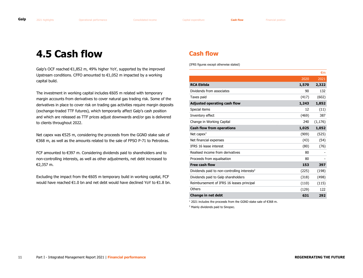### <span id="page-10-1"></span><span id="page-10-0"></span>**4.5 Cash flow**

Galp's OCF reached €1,852 m, 49% higher YoY, supported by the improved Upstream conditions. CFFO amounted to  $\epsilon$ 1,052 m impacted by a working capital build.

The investment in working capital includes €605 m related with temporary margin accounts from derivatives to cover natural gas trading risk. Some of the derivatives in place to cover risk on trading gas activities require margin deposits (exchange-traded TTF futures), which temporarily affect Galp's cash position and which are released as TTF prices adjust downwards and/or gas is delivered to clients throughout 2022.

Net capex was €525 m, considering the proceeds from the GGND stake sale of €368 m, as well as the amounts related to the sale of FPSO P-71 to Petrobras.

FCF amounted to €397 m. Considering dividends paid to shareholders and to non-controlling interests, as well as other adjustments, net debt increased to €2,357 m.

Excluding the impact from the €605 m temporary build in working capital, FCF would have reached €1.0 bn and net debt would have declined YoY to €1.8 bn.

#### **Cash flow**

(IFRS figures except otherwise stated)

| 2020<br><b>RCA Ebitda</b><br>1,570<br>Dividends from associates<br>90<br>Taxes paid<br>(417) | 2021<br>2,322<br>132<br>(602)<br>1,852 |
|----------------------------------------------------------------------------------------------|----------------------------------------|
|                                                                                              |                                        |
|                                                                                              |                                        |
|                                                                                              |                                        |
|                                                                                              |                                        |
| <b>Adjusted operating cash flow</b><br>1,243                                                 |                                        |
| Special items<br>12                                                                          | (11)                                   |
| Inventory effect<br>(469)                                                                    | 387                                    |
| Change in Working Capital<br>240                                                             | (1, 176)                               |
| <b>Cash flow from operations</b><br>1,025                                                    | 1,052                                  |
| Net capex $1$<br>(909)                                                                       | (525)                                  |
| Net financial expenses<br>(43)                                                               | (54)                                   |
| <b>IFRS 16 lease interest</b><br>(80)                                                        | (76)                                   |
| Realised income from derivatives<br>80                                                       |                                        |
| Proceeds from equalisation<br>80                                                             |                                        |
| <b>Free cash flow</b><br>153                                                                 | 397                                    |
| Dividends paid to non-controlling interests <sup>2</sup><br>(225)                            | (198)                                  |
| (318)<br>Dividends paid to Galp shareholders                                                 | (498)                                  |
| Reimbursement of IFRS 16 leases principal<br>(110)                                           | (115)                                  |
| Others<br>(129)                                                                              | 122                                    |
| Change in net debt<br>631                                                                    | 292                                    |

<sup>1</sup> 2021 includes the proceeds from the GGND stake sale of €368 m.

<sup>2</sup> Mainly dividends paid to Sinopec.